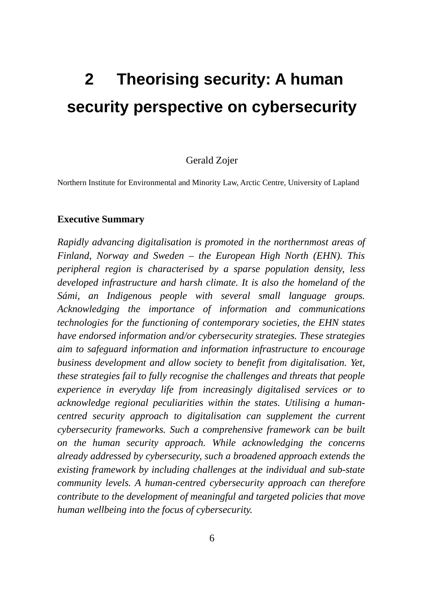# **2 Theorising security: A human security perspective on cybersecurity**

#### Gerald Zojer

Northern Institute for Environmental and Minority Law, Arctic Centre, University of Lapland

#### **Executive Summary**

*Rapidly advancing digitalisation is promoted in the northernmost areas of Finland, Norway and Sweden – the European High North (EHN). This peripheral region is characterised by a sparse population density, less developed infrastructure and harsh climate. It is also the homeland of the Sámi, an Indigenous people with several small language groups. Acknowledging the importance of information and communications technologies for the functioning of contemporary societies, the EHN states have endorsed information and/or cybersecurity strategies. These strategies aim to safeguard information and information infrastructure to encourage business development and allow society to benefit from digitalisation. Yet, these strategies fail to fully recognise the challenges and threats that people experience in everyday life from increasingly digitalised services or to acknowledge regional peculiarities within the states. Utilising a humancentred security approach to digitalisation can supplement the current cybersecurity frameworks. Such a comprehensive framework can be built on the human security approach. While acknowledging the concerns already addressed by cybersecurity, such a broadened approach extends the existing framework by including challenges at the individual and sub-state community levels. A human-centred cybersecurity approach can therefore contribute to the development of meaningful and targeted policies that move human wellbeing into the focus of cybersecurity.*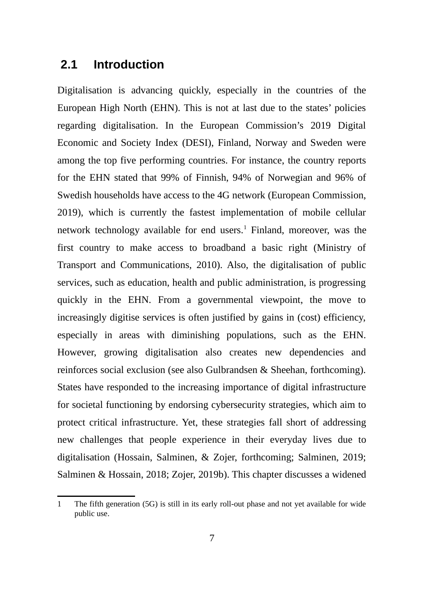### **2.1 Introduction**

Digitalisation is advancing quickly, especially in the countries of the European High North (EHN). This is not at last due to the states' policies regarding digitalisation. In the European Commission's 2019 Digital Economic and Society Index (DESI), Finland, Norway and Sweden were among the top five performing countries. For instance, the country reports for the EHN stated that 99% of Finnish, 94% of Norwegian and 96% of Swedish households have access to the 4G network (European Commission, 2019), which is currently the fastest implementation of mobile cellular network technology available for end users. $^1$  $^1$  Finland, moreover, was the first country to make access to broadband a basic right (Ministry of Transport and Communications, 2010). Also, the digitalisation of public services, such as education, health and public administration, is progressing quickly in the EHN. From a governmental viewpoint, the move to increasingly digitise services is often justified by gains in (cost) efficiency, especially in areas with diminishing populations, such as the EHN. However, growing digitalisation also creates new dependencies and reinforces social exclusion (see also Gulbrandsen & Sheehan, forthcoming). States have responded to the increasing importance of digital infrastructure for societal functioning by endorsing cybersecurity strategies, which aim to protect critical infrastructure. Yet, these strategies fall short of addressing new challenges that people experience in their everyday lives due to digitalisation (Hossain, Salminen, & Zojer, forthcoming; Salminen, 2019; Salminen & Hossain, 2018; Zojer, 2019b). This chapter discusses a widened

<span id="page-1-0"></span><sup>1</sup> The fifth generation (5G) is still in its early roll-out phase and not yet available for wide public use.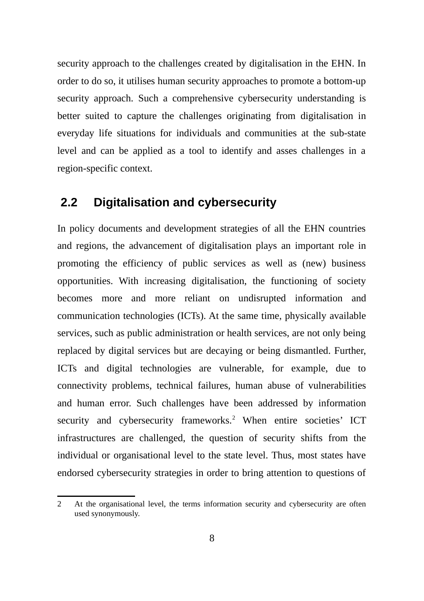security approach to the challenges created by digitalisation in the EHN. In order to do so, it utilises human security approaches to promote a bottom-up security approach. Such a comprehensive cybersecurity understanding is better suited to capture the challenges originating from digitalisation in everyday life situations for individuals and communities at the sub-state level and can be applied as a tool to identify and asses challenges in a region-specific context.

## **2.2 Digitalisation and cybersecurity**

In policy documents and development strategies of all the EHN countries and regions, the advancement of digitalisation plays an important role in promoting the efficiency of public services as well as (new) business opportunities. With increasing digitalisation, the functioning of society becomes more and more reliant on undisrupted information and communication technologies (ICTs). At the same time, physically available services, such as public administration or health services, are not only being replaced by digital services but are decaying or being dismantled. Further, ICTs and digital technologies are vulnerable, for example, due to connectivity problems, technical failures, human abuse of vulnerabilities and human error. Such challenges have been addressed by information security and cybersecurity frameworks.<sup>[2](#page-2-0)</sup> When entire societies' ICT infrastructures are challenged, the question of security shifts from the individual or organisational level to the state level. Thus, most states have endorsed cybersecurity strategies in order to bring attention to questions of

<span id="page-2-0"></span><sup>2</sup> At the organisational level, the terms information security and cybersecurity are often used synonymously.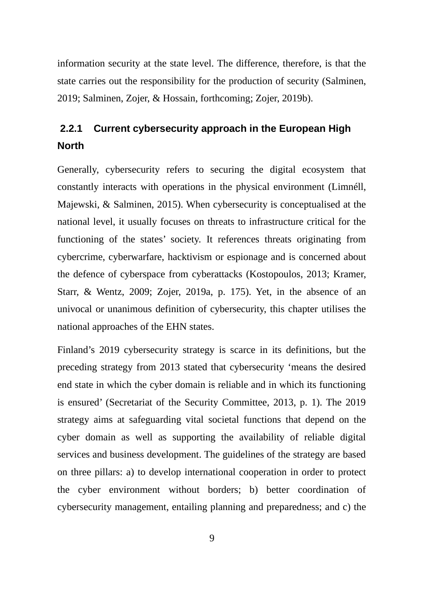information security at the state level. The difference, therefore, is that the state carries out the responsibility for the production of security (Salminen, 2019; Salminen, Zojer, & Hossain, forthcoming; Zojer, 2019b).

# **2.2.1 Current cybersecurity approach in the European High North**

Generally, cybersecurity refers to securing the digital ecosystem that constantly interacts with operations in the physical environment (Limnéll, Majewski, & Salminen, 2015). When cybersecurity is conceptualised at the national level, it usually focuses on threats to infrastructure critical for the functioning of the states' society. It references threats originating from cybercrime, cyberwarfare, hacktivism or espionage and is concerned about the defence of cyberspace from cyberattacks (Kostopoulos, 2013; Kramer, Starr, & Wentz, 2009; Zojer, 2019a, p. 175). Yet, in the absence of an univocal or unanimous definition of cybersecurity, this chapter utilises the national approaches of the EHN states.

Finland's 2019 cybersecurity strategy is scarce in its definitions, but the preceding strategy from 2013 stated that cybersecurity 'means the desired end state in which the cyber domain is reliable and in which its functioning is ensured' (Secretariat of the Security Committee, 2013, p. 1). The 2019 strategy aims at safeguarding vital societal functions that depend on the cyber domain as well as supporting the availability of reliable digital services and business development. The guidelines of the strategy are based on three pillars: a) to develop international cooperation in order to protect the cyber environment without borders; b) better coordination of cybersecurity management, entailing planning and preparedness; and c) the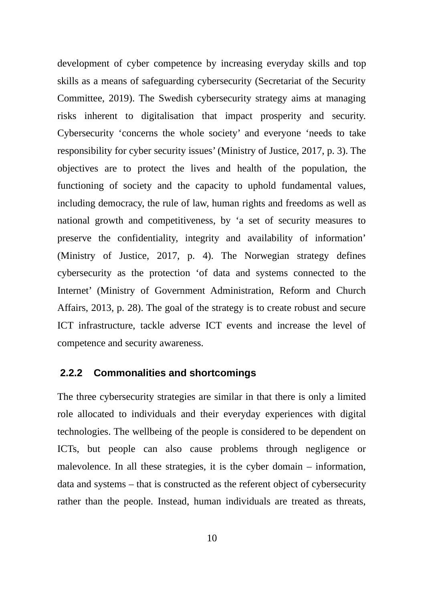development of cyber competence by increasing everyday skills and top skills as a means of safeguarding cybersecurity (Secretariat of the Security Committee, 2019). The Swedish cybersecurity strategy aims at managing risks inherent to digitalisation that impact prosperity and security. Cybersecurity 'concerns the whole society' and everyone 'needs to take responsibility for cyber security issues' (Ministry of Justice, 2017, p. 3). The objectives are to protect the lives and health of the population, the functioning of society and the capacity to uphold fundamental values, including democracy, the rule of law, human rights and freedoms as well as national growth and competitiveness, by 'a set of security measures to preserve the confidentiality, integrity and availability of information' (Ministry of Justice, 2017, p. 4). The Norwegian strategy defines cybersecurity as the protection 'of data and systems connected to the Internet' (Ministry of Government Administration, Reform and Church Affairs, 2013, p. 28). The goal of the strategy is to create robust and secure ICT infrastructure, tackle adverse ICT events and increase the level of competence and security awareness.

#### **2.2.2 Commonalities and shortcomings**

The three cybersecurity strategies are similar in that there is only a limited role allocated to individuals and their everyday experiences with digital technologies. The wellbeing of the people is considered to be dependent on ICTs, but people can also cause problems through negligence or malevolence. In all these strategies, it is the cyber domain – information, data and systems – that is constructed as the referent object of cybersecurity rather than the people. Instead, human individuals are treated as threats,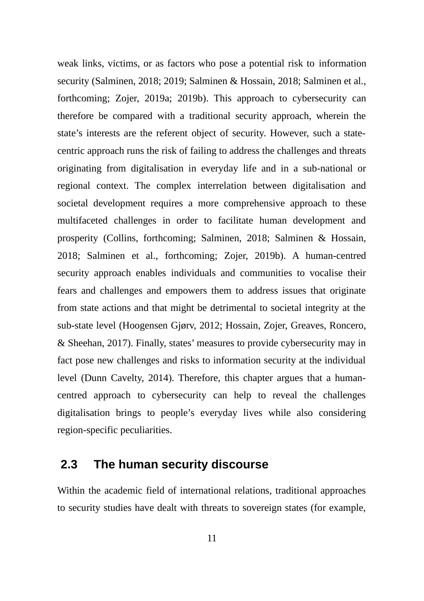weak links, victims, or as factors who pose a potential risk to information security (Salminen, 2018; 2019; Salminen & Hossain, 2018; Salminen et al., forthcoming; Zojer, 2019a; 2019b). This approach to cybersecurity can therefore be compared with a traditional security approach, wherein the state's interests are the referent object of security. However, such a statecentric approach runs the risk of failing to address the challenges and threats originating from digitalisation in everyday life and in a sub-national or regional context. The complex interrelation between digitalisation and societal development requires a more comprehensive approach to these multifaceted challenges in order to facilitate human development and prosperity (Collins, forthcoming; Salminen, 2018; Salminen & Hossain, 2018; Salminen et al., forthcoming; Zojer, 2019b). A human-centred security approach enables individuals and communities to vocalise their fears and challenges and empowers them to address issues that originate from state actions and that might be detrimental to societal integrity at the sub-state level (Hoogensen Gjørv, 2012; Hossain, Zojer, Greaves, Roncero, & Sheehan, 2017). Finally, states' measures to provide cybersecurity may in fact pose new challenges and risks to information security at the individual level (Dunn Cavelty, 2014). Therefore, this chapter argues that a humancentred approach to cybersecurity can help to reveal the challenges digitalisation brings to people's everyday lives while also considering region-specific peculiarities.

#### **2.3 The human security discourse**

Within the academic field of international relations, traditional approaches to security studies have dealt with threats to sovereign states (for example,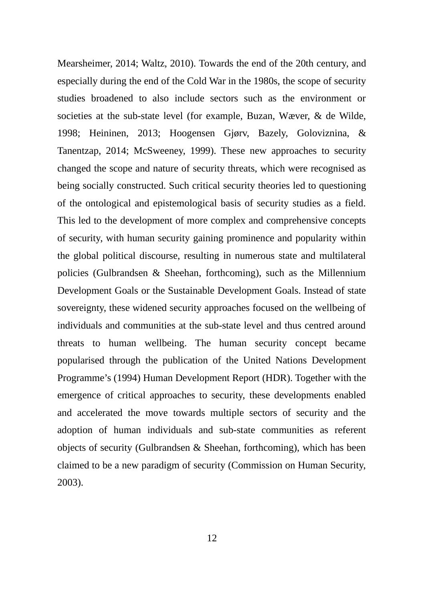Mearsheimer, 2014; Waltz, 2010). Towards the end of the 20th century, and especially during the end of the Cold War in the 1980s, the scope of security studies broadened to also include sectors such as the environment or societies at the sub-state level (for example, Buzan, Wæver, & de Wilde, 1998; Heininen, 2013; Hoogensen Gjørv, Bazely, Goloviznina, & Tanentzap, 2014; McSweeney, 1999). These new approaches to security changed the scope and nature of security threats, which were recognised as being socially constructed. Such critical security theories led to questioning of the ontological and epistemological basis of security studies as a field. This led to the development of more complex and comprehensive concepts of security, with human security gaining prominence and popularity within the global political discourse, resulting in numerous state and multilateral policies (Gulbrandsen & Sheehan, forthcoming), such as the Millennium Development Goals or the Sustainable Development Goals. Instead of state sovereignty, these widened security approaches focused on the wellbeing of individuals and communities at the sub-state level and thus centred around threats to human wellbeing. The human security concept became popularised through the publication of the United Nations Development Programme's (1994) Human Development Report (HDR). Together with the emergence of critical approaches to security, these developments enabled and accelerated the move towards multiple sectors of security and the adoption of human individuals and sub-state communities as referent objects of security (Gulbrandsen & Sheehan, forthcoming), which has been claimed to be a new paradigm of security (Commission on Human Security, 2003).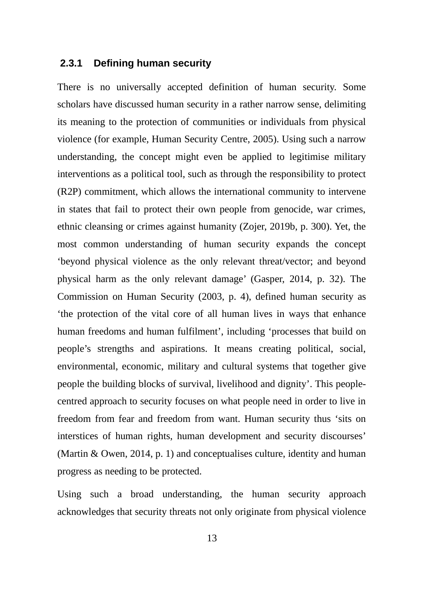#### **2.3.1 Defining human security**

There is no universally accepted definition of human security. Some scholars have discussed human security in a rather narrow sense, delimiting its meaning to the protection of communities or individuals from physical violence (for example, Human Security Centre, 2005). Using such a narrow understanding, the concept might even be applied to legitimise military interventions as a political tool, such as through the responsibility to protect (R2P) commitment, which allows the international community to intervene in states that fail to protect their own people from genocide, war crimes, ethnic cleansing or crimes against humanity (Zojer, 2019b, p. 300). Yet, the most common understanding of human security expands the concept 'beyond physical violence as the only relevant threat/vector; and beyond physical harm as the only relevant damage' (Gasper, 2014, p. 32). The Commission on Human Security (2003, p. 4), defined human security as 'the protection of the vital core of all human lives in ways that enhance human freedoms and human fulfilment', including 'processes that build on people's strengths and aspirations. It means creating political, social, environmental, economic, military and cultural systems that together give people the building blocks of survival, livelihood and dignity'. This peoplecentred approach to security focuses on what people need in order to live in freedom from fear and freedom from want. Human security thus 'sits on interstices of human rights, human development and security discourses' (Martin & Owen, 2014, p. 1) and conceptualises culture, identity and human progress as needing to be protected.

Using such a broad understanding, the human security approach acknowledges that security threats not only originate from physical violence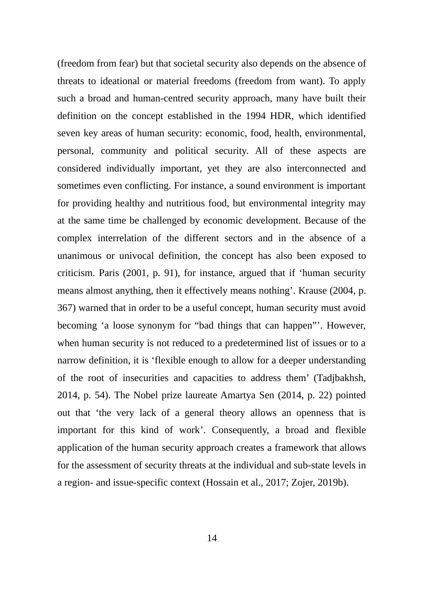(freedom from fear) but that societal security also depends on the absence of threats to ideational or material freedoms (freedom from want). To apply such a broad and human-centred security approach, many have built their definition on the concept established in the 1994 HDR, which identified seven key areas of human security: economic, food, health, environmental, personal, community and political security. All of these aspects are considered individually important, yet they are also interconnected and sometimes even conflicting. For instance, a sound environment is important for providing healthy and nutritious food, but environmental integrity may at the same time be challenged by economic development. Because of the complex interrelation of the different sectors and in the absence of a unanimous or univocal definition, the concept has also been exposed to criticism. Paris (2001, p. 91), for instance, argued that if 'human security means almost anything, then it effectively means nothing'. Krause (2004, p. 367) warned that in order to be a useful concept, human security must avoid becoming 'a loose synonym for "bad things that can happen"'. However, when human security is not reduced to a predetermined list of issues or to a narrow definition, it is 'flexible enough to allow for a deeper understanding of the root of insecurities and capacities to address them' (Tadjbakhsh, 2014, p. 54). The Nobel prize laureate Amartya Sen (2014, p. 22) pointed out that 'the very lack of a general theory allows an openness that is important for this kind of work'. Consequently, a broad and flexible application of the human security approach creates a framework that allows for the assessment of security threats at the individual and sub-state levels in a region- and issue-specific context (Hossain et al., 2017; Zojer, 2019b).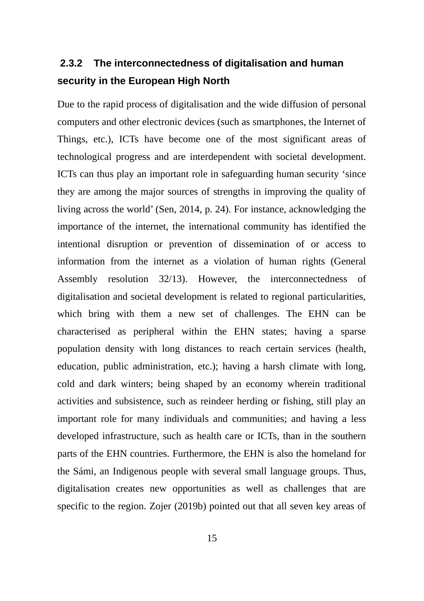# **2.3.2 The interconnectedness of digitalisation and human security in the European High North**

Due to the rapid process of digitalisation and the wide diffusion of personal computers and other electronic devices (such as smartphones, the Internet of Things, etc.), ICTs have become one of the most significant areas of technological progress and are interdependent with societal development. ICTs can thus play an important role in safeguarding human security 'since they are among the major sources of strengths in improving the quality of living across the world' (Sen, 2014, p. 24). For instance, acknowledging the importance of the internet, the international community has identified the intentional disruption or prevention of dissemination of or access to information from the internet as a violation of human rights (General Assembly resolution 32/13). However, the interconnectedness of digitalisation and societal development is related to regional particularities, which bring with them a new set of challenges. The EHN can be characterised as peripheral within the EHN states; having a sparse population density with long distances to reach certain services (health, education, public administration, etc.); having a harsh climate with long, cold and dark winters; being shaped by an economy wherein traditional activities and subsistence, such as reindeer herding or fishing, still play an important role for many individuals and communities; and having a less developed infrastructure, such as health care or ICTs, than in the southern parts of the EHN countries. Furthermore, the EHN is also the homeland for the Sámi, an Indigenous people with several small language groups. Thus, digitalisation creates new opportunities as well as challenges that are specific to the region. Zojer (2019b) pointed out that all seven key areas of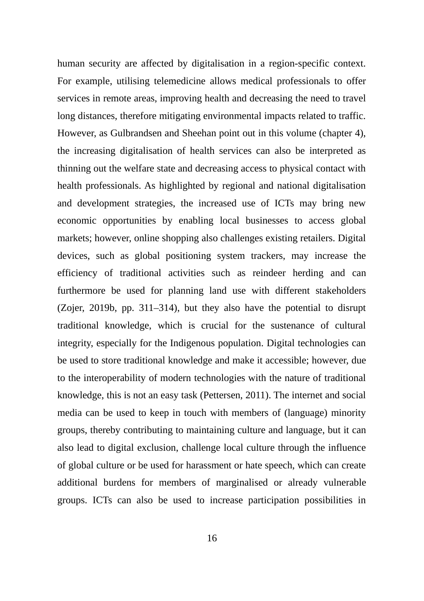human security are affected by digitalisation in a region-specific context. For example, utilising telemedicine allows medical professionals to offer services in remote areas, improving health and decreasing the need to travel long distances, therefore mitigating environmental impacts related to traffic. However, as Gulbrandsen and Sheehan point out in this volume (chapter 4), the increasing digitalisation of health services can also be interpreted as thinning out the welfare state and decreasing access to physical contact with health professionals. As highlighted by regional and national digitalisation and development strategies, the increased use of ICTs may bring new economic opportunities by enabling local businesses to access global markets; however, online shopping also challenges existing retailers. Digital devices, such as global positioning system trackers, may increase the efficiency of traditional activities such as reindeer herding and can furthermore be used for planning land use with different stakeholders (Zojer, 2019b, pp. 311–314), but they also have the potential to disrupt traditional knowledge, which is crucial for the sustenance of cultural integrity, especially for the Indigenous population. Digital technologies can be used to store traditional knowledge and make it accessible; however, due to the interoperability of modern technologies with the nature of traditional knowledge, this is not an easy task (Pettersen, 2011). The internet and social media can be used to keep in touch with members of (language) minority groups, thereby contributing to maintaining culture and language, but it can also lead to digital exclusion, challenge local culture through the influence of global culture or be used for harassment or hate speech, which can create additional burdens for members of marginalised or already vulnerable groups. ICTs can also be used to increase participation possibilities in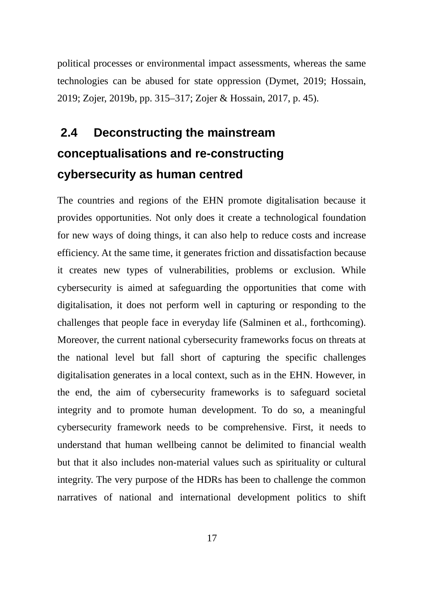political processes or environmental impact assessments, whereas the same technologies can be abused for state oppression (Dymet, 2019; Hossain, 2019; Zojer, 2019b, pp. 315–317; Zojer & Hossain, 2017, p. 45).

# **2.4 Deconstructing the mainstream conceptualisations and re-constructing cybersecurity as human centred**

The countries and regions of the EHN promote digitalisation because it provides opportunities. Not only does it create a technological foundation for new ways of doing things, it can also help to reduce costs and increase efficiency. At the same time, it generates friction and dissatisfaction because it creates new types of vulnerabilities, problems or exclusion. While cybersecurity is aimed at safeguarding the opportunities that come with digitalisation, it does not perform well in capturing or responding to the challenges that people face in everyday life (Salminen et al., forthcoming). Moreover, the current national cybersecurity frameworks focus on threats at the national level but fall short of capturing the specific challenges digitalisation generates in a local context, such as in the EHN. However, in the end, the aim of cybersecurity frameworks is to safeguard societal integrity and to promote human development. To do so, a meaningful cybersecurity framework needs to be comprehensive. First, it needs to understand that human wellbeing cannot be delimited to financial wealth but that it also includes non-material values such as spirituality or cultural integrity. The very purpose of the HDRs has been to challenge the common narratives of national and international development politics to shift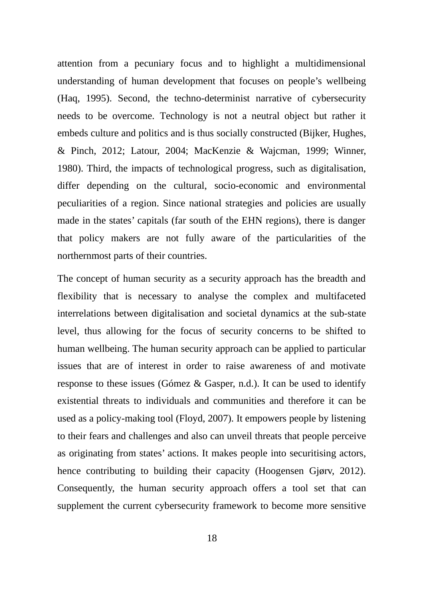attention from a pecuniary focus and to highlight a multidimensional understanding of human development that focuses on people's wellbeing (Haq, 1995). Second, the techno-determinist narrative of cybersecurity needs to be overcome. Technology is not a neutral object but rather it embeds culture and politics and is thus socially constructed (Bijker, Hughes, & Pinch, 2012; Latour, 2004; MacKenzie & Wajcman, 1999; Winner, 1980). Third, the impacts of technological progress, such as digitalisation, differ depending on the cultural, socio-economic and environmental peculiarities of a region. Since national strategies and policies are usually made in the states' capitals (far south of the EHN regions), there is danger that policy makers are not fully aware of the particularities of the northernmost parts of their countries.

The concept of human security as a security approach has the breadth and flexibility that is necessary to analyse the complex and multifaceted interrelations between digitalisation and societal dynamics at the sub-state level, thus allowing for the focus of security concerns to be shifted to human wellbeing. The human security approach can be applied to particular issues that are of interest in order to raise awareness of and motivate response to these issues (Gómez & Gasper, n.d.). It can be used to identify existential threats to individuals and communities and therefore it can be used as a policy-making tool (Floyd, 2007). It empowers people by listening to their fears and challenges and also can unveil threats that people perceive as originating from states' actions. It makes people into securitising actors, hence contributing to building their capacity (Hoogensen Gjørv, 2012). Consequently, the human security approach offers a tool set that can supplement the current cybersecurity framework to become more sensitive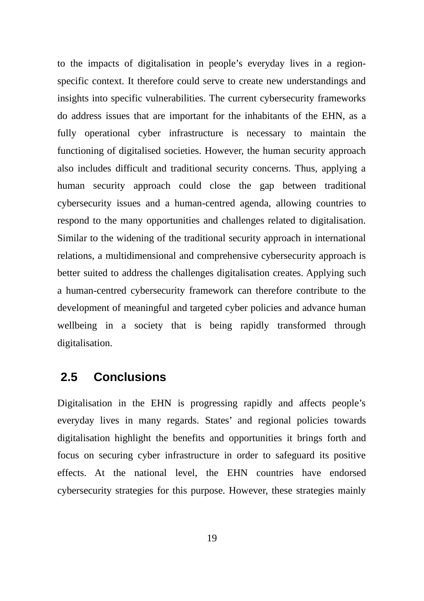to the impacts of digitalisation in people's everyday lives in a regionspecific context. It therefore could serve to create new understandings and insights into specific vulnerabilities. The current cybersecurity frameworks do address issues that are important for the inhabitants of the EHN, as a fully operational cyber infrastructure is necessary to maintain the functioning of digitalised societies. However, the human security approach also includes difficult and traditional security concerns. Thus, applying a human security approach could close the gap between traditional cybersecurity issues and a human-centred agenda, allowing countries to respond to the many opportunities and challenges related to digitalisation. Similar to the widening of the traditional security approach in international relations, a multidimensional and comprehensive cybersecurity approach is better suited to address the challenges digitalisation creates. Applying such a human-centred cybersecurity framework can therefore contribute to the development of meaningful and targeted cyber policies and advance human wellbeing in a society that is being rapidly transformed through digitalisation.

#### **2.5 Conclusions**

Digitalisation in the EHN is progressing rapidly and affects people's everyday lives in many regards. States' and regional policies towards digitalisation highlight the benefits and opportunities it brings forth and focus on securing cyber infrastructure in order to safeguard its positive effects. At the national level, the EHN countries have endorsed cybersecurity strategies for this purpose. However, these strategies mainly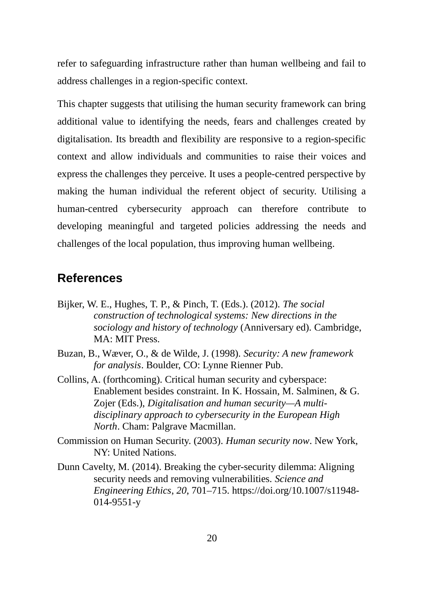refer to safeguarding infrastructure rather than human wellbeing and fail to address challenges in a region-specific context.

This chapter suggests that utilising the human security framework can bring additional value to identifying the needs, fears and challenges created by digitalisation. Its breadth and flexibility are responsive to a region-specific context and allow individuals and communities to raise their voices and express the challenges they perceive. It uses a people-centred perspective by making the human individual the referent object of security. Utilising a human-centred cybersecurity approach can therefore contribute to developing meaningful and targeted policies addressing the needs and challenges of the local population, thus improving human wellbeing.

#### **References**

- Bijker, W. E., Hughes, T. P., & Pinch, T. (Eds.). (2012). *The social construction of technological systems: New directions in the sociology and history of technology* (Anniversary ed). Cambridge, MA: MIT Press.
- Buzan, B., Wæver, O., & de Wilde, J. (1998). *Security: A new framework for analysis*. Boulder, CO: Lynne Rienner Pub.
- Collins, A. (forthcoming). Critical human security and cyberspace: Enablement besides constraint. In K. Hossain, M. Salminen, & G. Zojer (Eds.), *Digitalisation and human security—A multidisciplinary approach to cybersecurity in the European High North*. Cham: Palgrave Macmillan.
- Commission on Human Security. (2003). *Human security now*. New York, NY: United Nations.
- Dunn Cavelty, M. (2014). Breaking the cyber-security dilemma: Aligning security needs and removing vulnerabilities. *Science and Engineering Ethics*, *20*, 701–715. https://doi.org/10.1007/s11948- 014-9551-y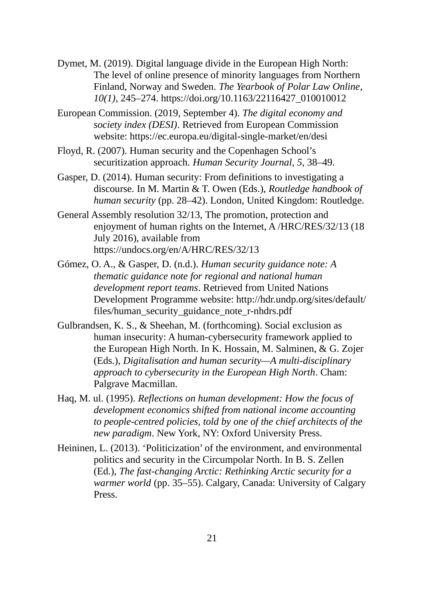- Dymet, M. (2019). Digital language divide in the European High North: The level of online presence of minority languages from Northern Finland, Norway and Sweden. *The Yearbook of Polar Law Online*, *10(1)*, 245–274. https://doi.org/10.1163/22116427\_010010012
- European Commission. (2019, September 4). *The digital economy and society index (DESI)*. Retrieved from European Commission website: https://ec.europa.eu/digital-single-market/en/desi
- Floyd, R. (2007). Human security and the Copenhagen School's securitization approach. *Human Security Journal, 5*, 38–49.
- Gasper, D. (2014). Human security: From definitions to investigating a discourse. In M. Martin & T. Owen (Eds.), *Routledge handbook of human security* (pp. 28–42). London, United Kingdom: Routledge.
- General Assembly resolution 32/13, The promotion, protection and enjoyment of human rights on the Internet, A /HRC/RES/32/13 (18 July 2016), available from https://undocs.org/en/A/HRC/RES/32/13
- Gómez, O. A., & Gasper, D. (n.d.). *Human security guidance note: A thematic guidance note for regional and national human development report teams*. Retrieved from United Nations Development Programme website: http://hdr.undp.org/sites/default/ files/human\_security\_guidance\_note\_r-nhdrs.pdf
- Gulbrandsen, K. S., & Sheehan, M. (forthcoming). Social exclusion as human insecurity: A human-cybersecurity framework applied to the European High North. In K. Hossain, M. Salminen, & G. Zojer (Eds.), *Digitalisation and human security—A multi-disciplinary approach to cybersecurity in the European High North*. Cham: Palgrave Macmillan.
- Haq, M. ul. (1995). *Reflections on human development: How the focus of development economics shifted from national income accounting to people-centred policies, told by one of the chief architects of the new paradigm*. New York, NY: Oxford University Press.
- Heininen, L. (2013). 'Politicization' of the environment, and environmental politics and security in the Circumpolar North. In B. S. Zellen (Ed.), *The fast-changing Arctic: Rethinking Arctic security for a warmer world* (pp. 35–55). Calgary, Canada: University of Calgary Press.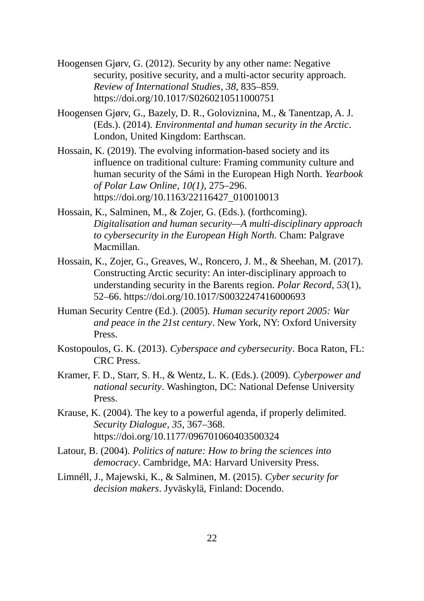- Hoogensen Gjørv, G. (2012). Security by any other name: Negative security, positive security, and a multi-actor security approach. *Review of International Studies*, *38*, 835–859. https://doi.org/10.1017/S0260210511000751
- Hoogensen Gjørv, G., Bazely, D. R., Goloviznina, M., & Tanentzap, A. J. (Eds.). (2014). *Environmental and human security in the Arctic*. London, United Kingdom: Earthscan.
- Hossain, K. (2019). The evolving information-based society and its influence on traditional culture: Framing community culture and human security of the Sámi in the European High North. *Yearbook of Polar Law Online*, *10(1)*, 275–296. https://doi.org/10.1163/22116427\_010010013
- Hossain, K., Salminen, M., & Zojer, G. (Eds.). (forthcoming). *Digitalisation and human security—A multi-disciplinary approach to cybersecurity in the European High North.* Cham: Palgrave Macmillan.
- Hossain, K., Zojer, G., Greaves, W., Roncero, J. M., & Sheehan, M. (2017). Constructing Arctic security: An inter-disciplinary approach to understanding security in the Barents region. *Polar Record*, *53*(1), 52–66. https://doi.org/10.1017/S0032247416000693
- Human Security Centre (Ed.). (2005). *Human security report 2005: War and peace in the 21st century*. New York, NY: Oxford University Press.
- Kostopoulos, G. K. (2013). *Cyberspace and cybersecurity*. Boca Raton, FL: CRC Press.
- Kramer, F. D., Starr, S. H., & Wentz, L. K. (Eds.). (2009). *Cyberpower and national security*. Washington, DC: National Defense University Press.
- Krause, K. (2004). The key to a powerful agenda, if properly delimited. *Security Dialogue*, *35*, 367–368. https://doi.org/10.1177/096701060403500324
- Latour, B. (2004). *Politics of nature: How to bring the sciences into democracy*. Cambridge, MA: Harvard University Press.
- Limnéll, J., Majewski, K., & Salminen, M. (2015). *Cyber security for decision makers*. Jyväskylä, Finland: Docendo.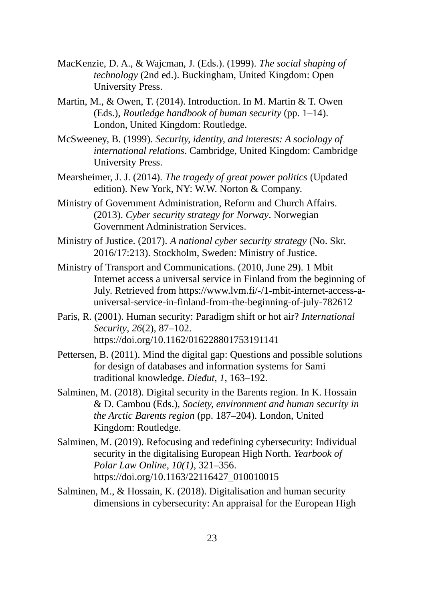- MacKenzie, D. A., & Wajcman, J. (Eds.). (1999). *The social shaping of technology* (2nd ed.). Buckingham, United Kingdom: Open University Press.
- Martin, M., & Owen, T. (2014). Introduction. In M. Martin & T. Owen (Eds.), *Routledge handbook of human security* (pp. 1–14). London, United Kingdom: Routledge.
- McSweeney, B. (1999). *Security, identity, and interests: A sociology of international relations*. Cambridge, United Kingdom: Cambridge University Press.
- Mearsheimer, J. J. (2014). *The tragedy of great power politics* (Updated edition). New York, NY: W.W. Norton & Company.
- Ministry of Government Administration, Reform and Church Affairs. (2013). *Cyber security strategy for Norway*. Norwegian Government Administration Services.
- Ministry of Justice. (2017). *A national cyber security strategy* (No. Skr. 2016/17:213). Stockholm, Sweden: Ministry of Justice.
- Ministry of Transport and Communications. (2010, June 29). 1 Mbit Internet access a universal service in Finland from the beginning of July. Retrieved from https://www.lvm.fi/-/1-mbit-internet-access-auniversal-service-in-finland-from-the-beginning-of-july-782612
- Paris, R. (2001). Human security: Paradigm shift or hot air? *International Security*, *26*(2), 87–102. https://doi.org/10.1162/016228801753191141
- Pettersen, B. (2011). Mind the digital gap: Questions and possible solutions for design of databases and information systems for Sami traditional knowledge. *Dieđut*, *1*, 163–192.
- Salminen, M. (2018). Digital security in the Barents region. In K. Hossain & D. Cambou (Eds.), *Society, environment and human security in the Arctic Barents region* (pp. 187–204). London, United Kingdom: Routledge.
- Salminen, M. (2019). Refocusing and redefining cybersecurity: Individual security in the digitalising European High North. *Yearbook of Polar Law Online*, *10(1)*, 321–356. https://doi.org/10.1163/22116427\_010010015
- Salminen, M., & Hossain, K. (2018). Digitalisation and human security dimensions in cybersecurity: An appraisal for the European High